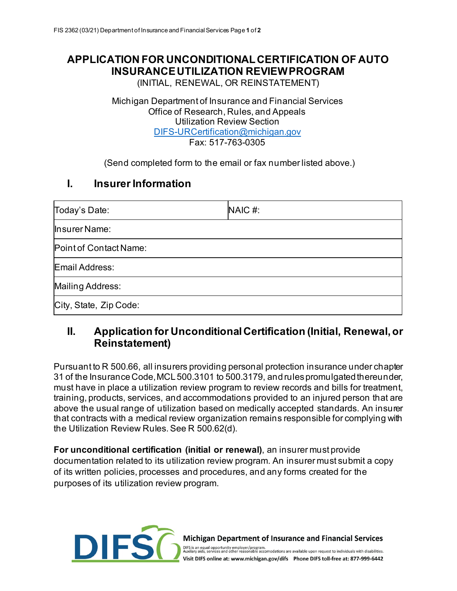# **APPLICATION FOR UNCONDITIONAL CERTIFICATION OF AUTO INSURANCEUTILIZATION REVIEW PROGRAM**

(INITIAL, RENEWAL, OR REINSTATEMENT)

Michigan Department of Insurance and Financial Services Office of Research, Rules, and Appeals Utilization Review Section [DIFS-URCertification@michigan.gov](mailto:DIFS-URCertification@michigan.gov) Fax: 517-763-0305

(Send completed form to the email or fax number listed above.)

### **I. Insurer Information**

| Today's Date:          | NAIC#: |
|------------------------|--------|
| Insurer Name:          |        |
| Point of Contact Name: |        |
| Email Address:         |        |
| Mailing Address:       |        |
| City, State, Zip Code: |        |

# **II. Application for Unconditional Certification (Initial, Renewal, or Reinstatement)**

Pursuant to R 500.66, all insurers providing personal protection insurance under chapter 31 of the Insurance Code, MCL 500.3101 to 500.3179, and rules promulgated thereunder, must have in place a utilization review program to review records and bills for treatment, training, products, services, and accommodations provided to an injured person that are above the usual range of utilization based on medically accepted standards. An insurer that contracts with a medical review organization remains responsible for complying with the Utilization Review Rules. See R 500.62(d).

**For unconditional certification (initial or renewal)**, an insurer must provide documentation related to its utilization review program. An insurer must submit a copy of its written policies, processes and procedures, and any forms created for the purposes of its utilization review program.



Michigan Department of Insurance and Financial Services

DIFS is an equal opportunity employer/program.<br>Auxilary aids, services and other reasonable accomodations are available upon request to individuals with disabilities. Visit DIFS online at: www.michigan.gov/difs Phone DIFS toll-free at: 877-999-6442